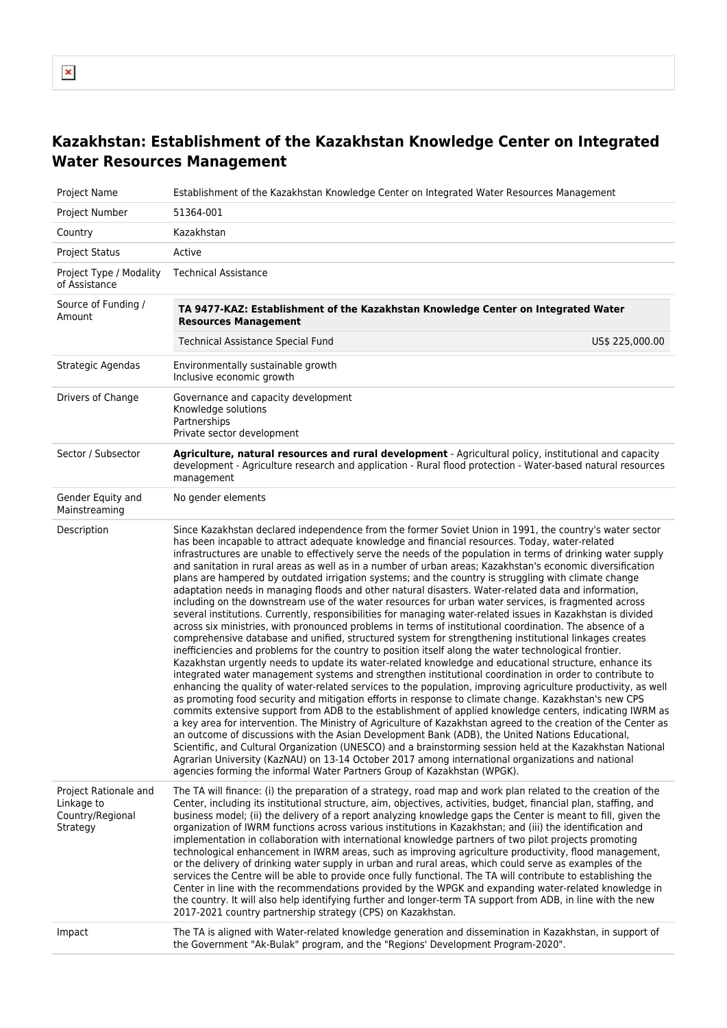## **Kazakhstan: Establishment of the Kazakhstan Knowledge Center on Integrated Water Resources Management**

| Project Name                                                        | Establishment of the Kazakhstan Knowledge Center on Integrated Water Resources Management                                                                                                                                                                                                                                                                                                                                                                                                                                                                                                                                                                                                                                                                                                                                                                                                                                                                                                                                                                                                                                                                                                                                                                                                                                                                                                                                                                                                                                                                                                                                                                                                                                                                                                                                                                                                                                                                                                                                                                                                                                                                                                                                                                                                          |
|---------------------------------------------------------------------|----------------------------------------------------------------------------------------------------------------------------------------------------------------------------------------------------------------------------------------------------------------------------------------------------------------------------------------------------------------------------------------------------------------------------------------------------------------------------------------------------------------------------------------------------------------------------------------------------------------------------------------------------------------------------------------------------------------------------------------------------------------------------------------------------------------------------------------------------------------------------------------------------------------------------------------------------------------------------------------------------------------------------------------------------------------------------------------------------------------------------------------------------------------------------------------------------------------------------------------------------------------------------------------------------------------------------------------------------------------------------------------------------------------------------------------------------------------------------------------------------------------------------------------------------------------------------------------------------------------------------------------------------------------------------------------------------------------------------------------------------------------------------------------------------------------------------------------------------------------------------------------------------------------------------------------------------------------------------------------------------------------------------------------------------------------------------------------------------------------------------------------------------------------------------------------------------------------------------------------------------------------------------------------------------|
| Project Number                                                      | 51364-001                                                                                                                                                                                                                                                                                                                                                                                                                                                                                                                                                                                                                                                                                                                                                                                                                                                                                                                                                                                                                                                                                                                                                                                                                                                                                                                                                                                                                                                                                                                                                                                                                                                                                                                                                                                                                                                                                                                                                                                                                                                                                                                                                                                                                                                                                          |
| Country                                                             | Kazakhstan                                                                                                                                                                                                                                                                                                                                                                                                                                                                                                                                                                                                                                                                                                                                                                                                                                                                                                                                                                                                                                                                                                                                                                                                                                                                                                                                                                                                                                                                                                                                                                                                                                                                                                                                                                                                                                                                                                                                                                                                                                                                                                                                                                                                                                                                                         |
| <b>Project Status</b>                                               | Active                                                                                                                                                                                                                                                                                                                                                                                                                                                                                                                                                                                                                                                                                                                                                                                                                                                                                                                                                                                                                                                                                                                                                                                                                                                                                                                                                                                                                                                                                                                                                                                                                                                                                                                                                                                                                                                                                                                                                                                                                                                                                                                                                                                                                                                                                             |
| Project Type / Modality<br>of Assistance                            | <b>Technical Assistance</b>                                                                                                                                                                                                                                                                                                                                                                                                                                                                                                                                                                                                                                                                                                                                                                                                                                                                                                                                                                                                                                                                                                                                                                                                                                                                                                                                                                                                                                                                                                                                                                                                                                                                                                                                                                                                                                                                                                                                                                                                                                                                                                                                                                                                                                                                        |
| Source of Funding /<br>Amount                                       | TA 9477-KAZ: Establishment of the Kazakhstan Knowledge Center on Integrated Water<br><b>Resources Management</b><br><b>Technical Assistance Special Fund</b><br>US\$ 225,000.00                                                                                                                                                                                                                                                                                                                                                                                                                                                                                                                                                                                                                                                                                                                                                                                                                                                                                                                                                                                                                                                                                                                                                                                                                                                                                                                                                                                                                                                                                                                                                                                                                                                                                                                                                                                                                                                                                                                                                                                                                                                                                                                    |
| Strategic Agendas                                                   | Environmentally sustainable growth<br>Inclusive economic growth                                                                                                                                                                                                                                                                                                                                                                                                                                                                                                                                                                                                                                                                                                                                                                                                                                                                                                                                                                                                                                                                                                                                                                                                                                                                                                                                                                                                                                                                                                                                                                                                                                                                                                                                                                                                                                                                                                                                                                                                                                                                                                                                                                                                                                    |
| Drivers of Change                                                   | Governance and capacity development<br>Knowledge solutions<br>Partnerships<br>Private sector development                                                                                                                                                                                                                                                                                                                                                                                                                                                                                                                                                                                                                                                                                                                                                                                                                                                                                                                                                                                                                                                                                                                                                                                                                                                                                                                                                                                                                                                                                                                                                                                                                                                                                                                                                                                                                                                                                                                                                                                                                                                                                                                                                                                           |
| Sector / Subsector                                                  | Agriculture, natural resources and rural development - Agricultural policy, institutional and capacity<br>development - Agriculture research and application - Rural flood protection - Water-based natural resources<br>management                                                                                                                                                                                                                                                                                                                                                                                                                                                                                                                                                                                                                                                                                                                                                                                                                                                                                                                                                                                                                                                                                                                                                                                                                                                                                                                                                                                                                                                                                                                                                                                                                                                                                                                                                                                                                                                                                                                                                                                                                                                                |
| Gender Equity and<br>Mainstreaming                                  | No gender elements                                                                                                                                                                                                                                                                                                                                                                                                                                                                                                                                                                                                                                                                                                                                                                                                                                                                                                                                                                                                                                                                                                                                                                                                                                                                                                                                                                                                                                                                                                                                                                                                                                                                                                                                                                                                                                                                                                                                                                                                                                                                                                                                                                                                                                                                                 |
| Description                                                         | Since Kazakhstan declared independence from the former Soviet Union in 1991, the country's water sector<br>has been incapable to attract adequate knowledge and financial resources. Today, water-related<br>infrastructures are unable to effectively serve the needs of the population in terms of drinking water supply<br>and sanitation in rural areas as well as in a number of urban areas; Kazakhstan's economic diversification<br>plans are hampered by outdated irrigation systems; and the country is struggling with climate change<br>adaptation needs in managing floods and other natural disasters. Water-related data and information,<br>including on the downstream use of the water resources for urban water services, is fragmented across<br>several institutions. Currently, responsibilities for managing water-related issues in Kazakhstan is divided<br>across six ministries, with pronounced problems in terms of institutional coordination. The absence of a<br>comprehensive database and unified, structured system for strengthening institutional linkages creates<br>inefficiencies and problems for the country to position itself along the water technological frontier.<br>Kazakhstan urgently needs to update its water-related knowledge and educational structure, enhance its<br>integrated water management systems and strengthen institutional coordination in order to contribute to<br>enhancing the quality of water-related services to the population, improving agriculture productivity, as well<br>as promoting food security and mitigation efforts in response to climate change. Kazakhstan's new CPS<br>commits extensive support from ADB to the establishment of applied knowledge centers, indicating IWRM as<br>a key area for intervention. The Ministry of Agriculture of Kazakhstan agreed to the creation of the Center as<br>an outcome of discussions with the Asian Development Bank (ADB), the United Nations Educational,<br>Scientific, and Cultural Organization (UNESCO) and a brainstorming session held at the Kazakhstan National<br>Agrarian University (KazNAU) on 13-14 October 2017 among international organizations and national<br>agencies forming the informal Water Partners Group of Kazakhstan (WPGK). |
| Project Rationale and<br>Linkage to<br>Country/Regional<br>Strategy | The TA will finance: (i) the preparation of a strategy, road map and work plan related to the creation of the<br>Center, including its institutional structure, aim, objectives, activities, budget, financial plan, staffing, and<br>business model; (ii) the delivery of a report analyzing knowledge gaps the Center is meant to fill, given the<br>organization of IWRM functions across various institutions in Kazakhstan; and (iii) the identification and<br>implementation in collaboration with international knowledge partners of two pilot projects promoting<br>technological enhancement in IWRM areas, such as improving agriculture productivity, flood management,<br>or the delivery of drinking water supply in urban and rural areas, which could serve as examples of the<br>services the Centre will be able to provide once fully functional. The TA will contribute to establishing the<br>Center in line with the recommendations provided by the WPGK and expanding water-related knowledge in<br>the country. It will also help identifying further and longer-term TA support from ADB, in line with the new<br>2017-2021 country partnership strategy (CPS) on Kazakhstan.                                                                                                                                                                                                                                                                                                                                                                                                                                                                                                                                                                                                                                                                                                                                                                                                                                                                                                                                                                                                                                                                                           |
| Impact                                                              | The TA is aligned with Water-related knowledge generation and dissemination in Kazakhstan, in support of<br>the Government "Ak-Bulak" program, and the "Regions' Development Program-2020".                                                                                                                                                                                                                                                                                                                                                                                                                                                                                                                                                                                                                                                                                                                                                                                                                                                                                                                                                                                                                                                                                                                                                                                                                                                                                                                                                                                                                                                                                                                                                                                                                                                                                                                                                                                                                                                                                                                                                                                                                                                                                                        |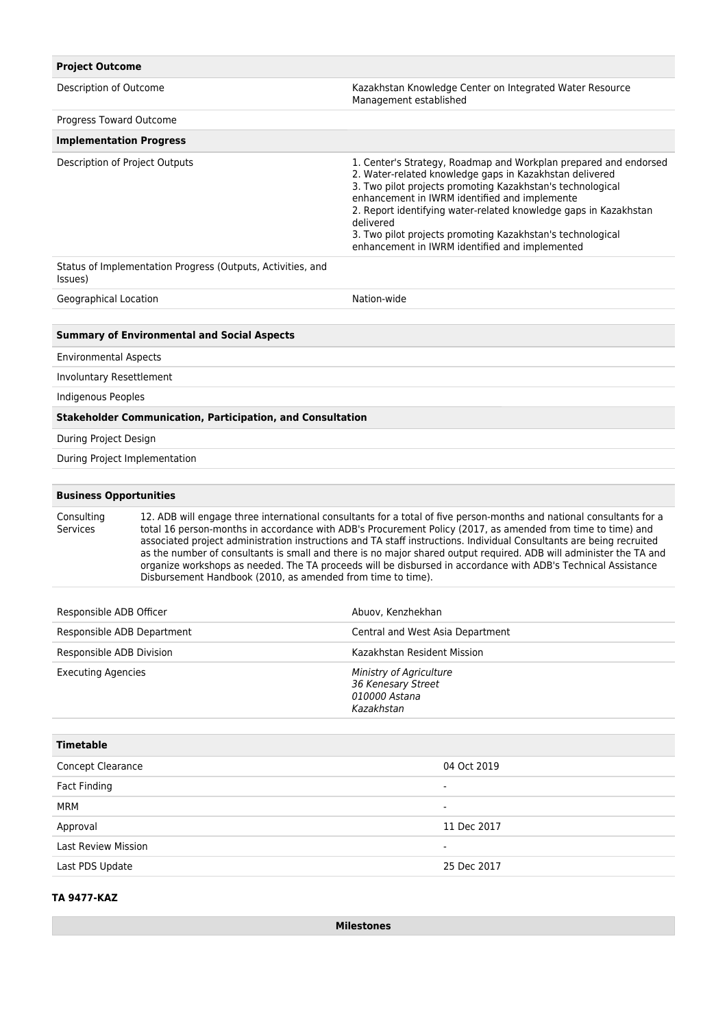| <b>Project Outcome</b>                                                                                                                                                                                                                                                                                                                                                                                                                                                                                                                                                                                                                                                                             |                                                                   |                                                                                                                                                                                                                                                                                                                                                                                                                                             |  |  |  |  |
|----------------------------------------------------------------------------------------------------------------------------------------------------------------------------------------------------------------------------------------------------------------------------------------------------------------------------------------------------------------------------------------------------------------------------------------------------------------------------------------------------------------------------------------------------------------------------------------------------------------------------------------------------------------------------------------------------|-------------------------------------------------------------------|---------------------------------------------------------------------------------------------------------------------------------------------------------------------------------------------------------------------------------------------------------------------------------------------------------------------------------------------------------------------------------------------------------------------------------------------|--|--|--|--|
| Description of Outcome                                                                                                                                                                                                                                                                                                                                                                                                                                                                                                                                                                                                                                                                             |                                                                   | Kazakhstan Knowledge Center on Integrated Water Resource<br>Management established                                                                                                                                                                                                                                                                                                                                                          |  |  |  |  |
| Progress Toward Outcome                                                                                                                                                                                                                                                                                                                                                                                                                                                                                                                                                                                                                                                                            |                                                                   |                                                                                                                                                                                                                                                                                                                                                                                                                                             |  |  |  |  |
| <b>Implementation Progress</b>                                                                                                                                                                                                                                                                                                                                                                                                                                                                                                                                                                                                                                                                     |                                                                   |                                                                                                                                                                                                                                                                                                                                                                                                                                             |  |  |  |  |
| Description of Project Outputs                                                                                                                                                                                                                                                                                                                                                                                                                                                                                                                                                                                                                                                                     |                                                                   | 1. Center's Strategy, Roadmap and Workplan prepared and endorsed<br>2. Water-related knowledge gaps in Kazakhstan delivered<br>3. Two pilot projects promoting Kazakhstan's technological<br>enhancement in IWRM identified and implemente<br>2. Report identifying water-related knowledge gaps in Kazakhstan<br>delivered<br>3. Two pilot projects promoting Kazakhstan's technological<br>enhancement in IWRM identified and implemented |  |  |  |  |
| Status of Implementation Progress (Outputs, Activities, and<br>Issues)                                                                                                                                                                                                                                                                                                                                                                                                                                                                                                                                                                                                                             |                                                                   |                                                                                                                                                                                                                                                                                                                                                                                                                                             |  |  |  |  |
| Geographical Location                                                                                                                                                                                                                                                                                                                                                                                                                                                                                                                                                                                                                                                                              |                                                                   | Nation-wide                                                                                                                                                                                                                                                                                                                                                                                                                                 |  |  |  |  |
|                                                                                                                                                                                                                                                                                                                                                                                                                                                                                                                                                                                                                                                                                                    |                                                                   |                                                                                                                                                                                                                                                                                                                                                                                                                                             |  |  |  |  |
|                                                                                                                                                                                                                                                                                                                                                                                                                                                                                                                                                                                                                                                                                                    | <b>Summary of Environmental and Social Aspects</b>                |                                                                                                                                                                                                                                                                                                                                                                                                                                             |  |  |  |  |
| <b>Environmental Aspects</b>                                                                                                                                                                                                                                                                                                                                                                                                                                                                                                                                                                                                                                                                       |                                                                   |                                                                                                                                                                                                                                                                                                                                                                                                                                             |  |  |  |  |
| Involuntary Resettlement                                                                                                                                                                                                                                                                                                                                                                                                                                                                                                                                                                                                                                                                           |                                                                   |                                                                                                                                                                                                                                                                                                                                                                                                                                             |  |  |  |  |
| Indigenous Peoples                                                                                                                                                                                                                                                                                                                                                                                                                                                                                                                                                                                                                                                                                 |                                                                   |                                                                                                                                                                                                                                                                                                                                                                                                                                             |  |  |  |  |
|                                                                                                                                                                                                                                                                                                                                                                                                                                                                                                                                                                                                                                                                                                    | <b>Stakeholder Communication, Participation, and Consultation</b> |                                                                                                                                                                                                                                                                                                                                                                                                                                             |  |  |  |  |
| During Project Design                                                                                                                                                                                                                                                                                                                                                                                                                                                                                                                                                                                                                                                                              |                                                                   |                                                                                                                                                                                                                                                                                                                                                                                                                                             |  |  |  |  |
| During Project Implementation                                                                                                                                                                                                                                                                                                                                                                                                                                                                                                                                                                                                                                                                      |                                                                   |                                                                                                                                                                                                                                                                                                                                                                                                                                             |  |  |  |  |
|                                                                                                                                                                                                                                                                                                                                                                                                                                                                                                                                                                                                                                                                                                    |                                                                   |                                                                                                                                                                                                                                                                                                                                                                                                                                             |  |  |  |  |
| <b>Business Opportunities</b>                                                                                                                                                                                                                                                                                                                                                                                                                                                                                                                                                                                                                                                                      |                                                                   |                                                                                                                                                                                                                                                                                                                                                                                                                                             |  |  |  |  |
| Consulting<br>12. ADB will engage three international consultants for a total of five person-months and national consultants for a<br><b>Services</b><br>total 16 person-months in accordance with ADB's Procurement Policy (2017, as amended from time to time) and<br>associated project administration instructions and TA staff instructions. Individual Consultants are being recruited<br>as the number of consultants is small and there is no major shared output required. ADB will administer the TA and<br>organize workshops as needed. The TA proceeds will be disbursed in accordance with ADB's Technical Assistance<br>Disbursement Handbook (2010, as amended from time to time). |                                                                   |                                                                                                                                                                                                                                                                                                                                                                                                                                             |  |  |  |  |
| Responsible ADB Officer                                                                                                                                                                                                                                                                                                                                                                                                                                                                                                                                                                                                                                                                            |                                                                   | Abuov, Kenzhekhan                                                                                                                                                                                                                                                                                                                                                                                                                           |  |  |  |  |
| Responsible ADB Department                                                                                                                                                                                                                                                                                                                                                                                                                                                                                                                                                                                                                                                                         |                                                                   | Central and West Asia Department                                                                                                                                                                                                                                                                                                                                                                                                            |  |  |  |  |
| Responsible ADB Division                                                                                                                                                                                                                                                                                                                                                                                                                                                                                                                                                                                                                                                                           |                                                                   | Kazakhstan Resident Mission                                                                                                                                                                                                                                                                                                                                                                                                                 |  |  |  |  |
| <b>Executing Agencies</b>                                                                                                                                                                                                                                                                                                                                                                                                                                                                                                                                                                                                                                                                          |                                                                   | Ministry of Agriculture<br>36 Kenesary Street<br>010000 Astana<br>Kazakhstan                                                                                                                                                                                                                                                                                                                                                                |  |  |  |  |
| <b>Timetable</b>                                                                                                                                                                                                                                                                                                                                                                                                                                                                                                                                                                                                                                                                                   |                                                                   |                                                                                                                                                                                                                                                                                                                                                                                                                                             |  |  |  |  |
| Concept Clearance                                                                                                                                                                                                                                                                                                                                                                                                                                                                                                                                                                                                                                                                                  |                                                                   | 04 Oct 2019                                                                                                                                                                                                                                                                                                                                                                                                                                 |  |  |  |  |
| <b>Fact Finding</b>                                                                                                                                                                                                                                                                                                                                                                                                                                                                                                                                                                                                                                                                                |                                                                   | $\blacksquare$                                                                                                                                                                                                                                                                                                                                                                                                                              |  |  |  |  |
| <b>MRM</b>                                                                                                                                                                                                                                                                                                                                                                                                                                                                                                                                                                                                                                                                                         |                                                                   |                                                                                                                                                                                                                                                                                                                                                                                                                                             |  |  |  |  |
| Approval                                                                                                                                                                                                                                                                                                                                                                                                                                                                                                                                                                                                                                                                                           |                                                                   | 11 Dec 2017                                                                                                                                                                                                                                                                                                                                                                                                                                 |  |  |  |  |
| <b>Last Review Mission</b>                                                                                                                                                                                                                                                                                                                                                                                                                                                                                                                                                                                                                                                                         |                                                                   |                                                                                                                                                                                                                                                                                                                                                                                                                                             |  |  |  |  |
| Last PDS Update                                                                                                                                                                                                                                                                                                                                                                                                                                                                                                                                                                                                                                                                                    |                                                                   | 25 Dec 2017                                                                                                                                                                                                                                                                                                                                                                                                                                 |  |  |  |  |
|                                                                                                                                                                                                                                                                                                                                                                                                                                                                                                                                                                                                                                                                                                    |                                                                   |                                                                                                                                                                                                                                                                                                                                                                                                                                             |  |  |  |  |

## **TA 9477-KAZ**

**Milestones**